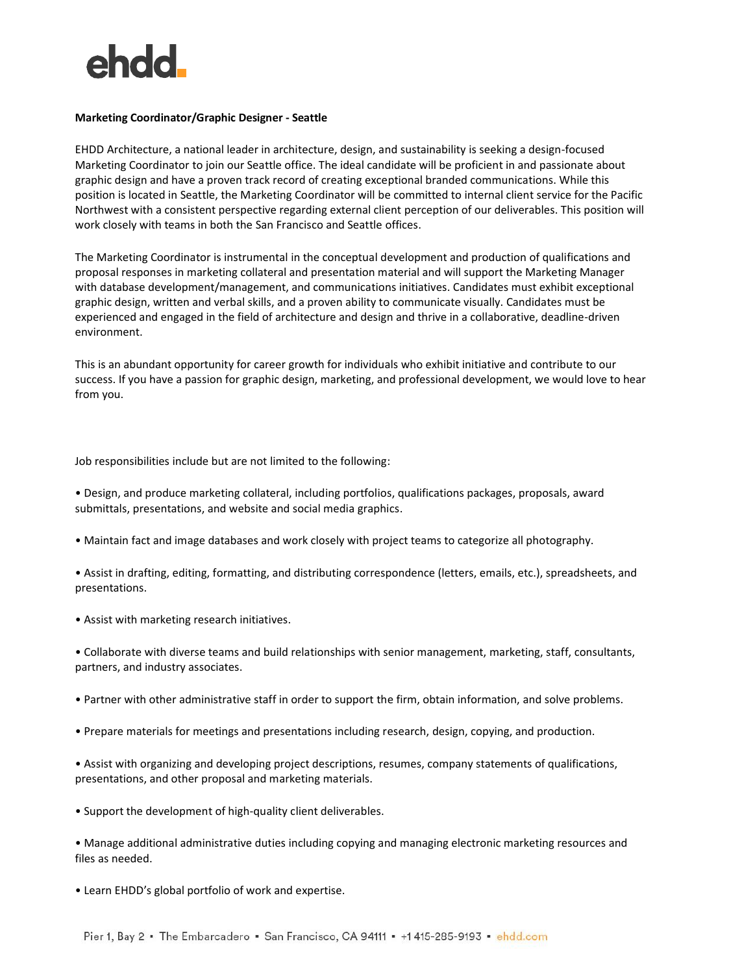

## **Marketing Coordinator/Graphic Designer - Seattle**

EHDD Architecture, a national leader in architecture, design, and sustainability is seeking a design-focused Marketing Coordinator to join our Seattle office. The ideal candidate will be proficient in and passionate about graphic design and have a proven track record of creating exceptional branded communications. While this position is located in Seattle, the Marketing Coordinator will be committed to internal client service for the Pacific Northwest with a consistent perspective regarding external client perception of our deliverables. This position will work closely with teams in both the San Francisco and Seattle offices.

The Marketing Coordinator is instrumental in the conceptual development and production of qualifications and proposal responses in marketing collateral and presentation material and will support the Marketing Manager with database development/management, and communications initiatives. Candidates must exhibit exceptional graphic design, written and verbal skills, and a proven ability to communicate visually. Candidates must be experienced and engaged in the field of architecture and design and thrive in a collaborative, deadline-driven environment.

This is an abundant opportunity for career growth for individuals who exhibit initiative and contribute to our success. If you have a passion for graphic design, marketing, and professional development, we would love to hear from you.

Job responsibilities include but are not limited to the following:

• Design, and produce marketing collateral, including portfolios, qualifications packages, proposals, award submittals, presentations, and website and social media graphics.

• Maintain fact and image databases and work closely with project teams to categorize all photography.

• Assist in drafting, editing, formatting, and distributing correspondence (letters, emails, etc.), spreadsheets, and presentations.

• Assist with marketing research initiatives.

• Collaborate with diverse teams and build relationships with senior management, marketing, staff, consultants, partners, and industry associates.

- Partner with other administrative staff in order to support the firm, obtain information, and solve problems.
- Prepare materials for meetings and presentations including research, design, copying, and production.

• Assist with organizing and developing project descriptions, resumes, company statements of qualifications, presentations, and other proposal and marketing materials.

• Support the development of high-quality client deliverables.

• Manage additional administrative duties including copying and managing electronic marketing resources and files as needed.

• Learn EHDD's global portfolio of work and expertise.